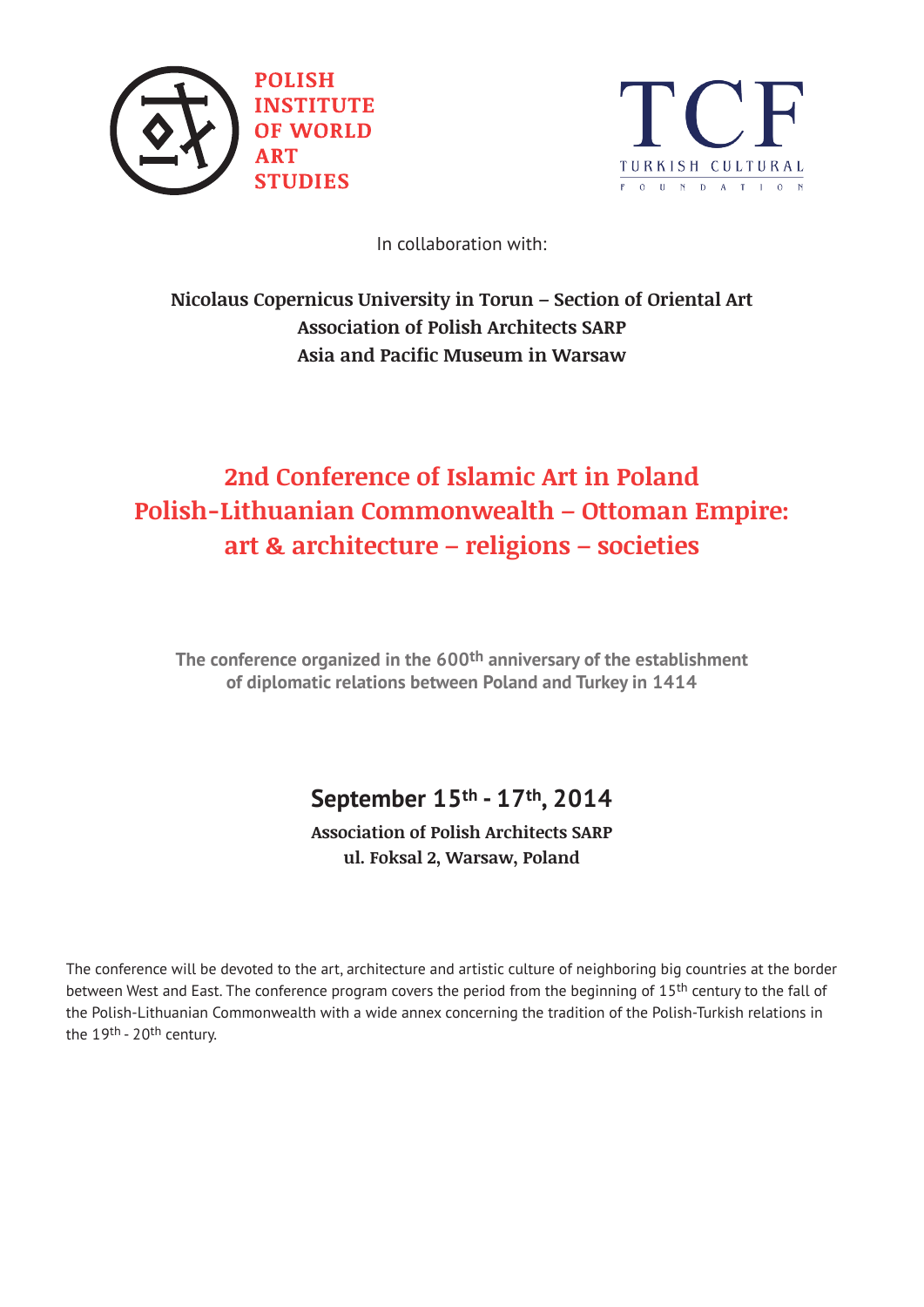



In collaboration with:

### **Nicolaus Copernicus University in Torun – Section of Oriental Art Association of Polish Architects SARP Asia and Pacific Museum in Warsaw**

# **2nd Conference of Islamic Art in Poland Polish-Lithuanian Commonwealth – Ottoman Empire: art & architecture – religions – societies**

**The conference organized in the 600th anniversary of the establishment of diplomatic relations between Poland and Turkey in 1414**

## **September 15th - 17th, 2014**

**Association of Polish Architects SARP ul. Foksal 2, Warsaw, Poland**

The conference will be devoted to the art, architecture and artistic culture of neighboring big countries at the border between West and East. The conference program covers the period from the beginning of 15<sup>th</sup> century to the fall of the Polish-Lithuanian Commonwealth with a wide annex concerning the tradition of the Polish-Turkish relations in the 19<sup>th</sup> - 20<sup>th</sup> century.